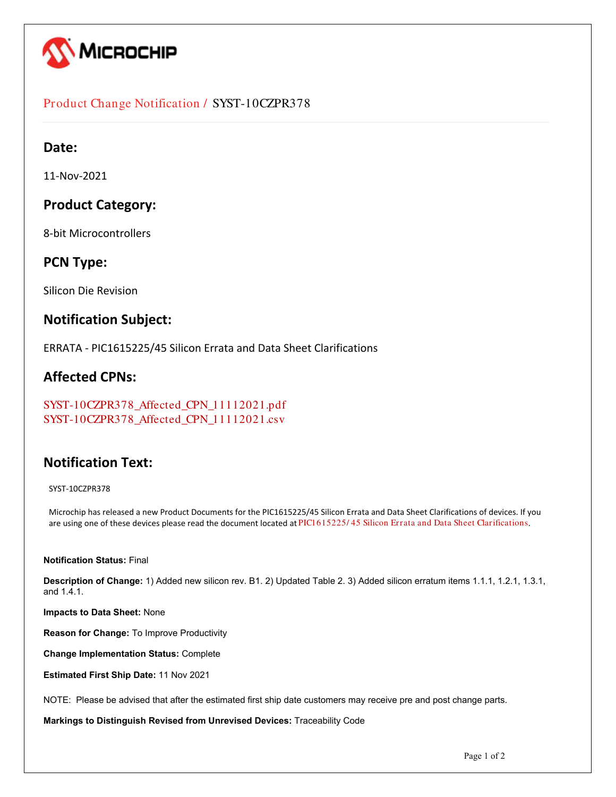

### Product Change Notification / SYST-10CZPR378

### **Date:**

11-Nov-2021

## **Product Category:**

8-bit Microcontrollers

### **PCN Type:**

Silicon Die Revision

### **Notification Subject:**

ERRATA - PIC1615225/45 Silicon Errata and Data Sheet Clarifications

### **Affected CPNs:**

```
SYST-10CZPR378_Affected_CPN_11112021.pdf
SYST-10CZPR378_Affected_CPN_11112021.csv
```
# **Notification Text:**

SYST-10CZPR378

Microchip has released a new Product Documents for the PIC1615225/45 Silicon Errata and Data Sheet Clarifications of devices. If you are using one of these devices please read the document located at PIC1615225/45 Silicon Errata and Data Sheet Clarifications.

#### **Notification Status:** Final

**Description of Change:** 1) Added new silicon rev. B1. 2) Updated Table 2. 3) Added silicon erratum items 1.1.1, 1.2.1, 1.3.1, and 1.4.1.

**Impacts to Data Sheet:** None

**Reason for Change:** To Improve Productivity

**Change Implementation Status:** Complete

**Estimated First Ship Date:** 11 Nov 2021

NOTE: Please be advised that after the estimated first ship date customers may receive pre and post change parts.

**Markings to Distinguish Revised from Unrevised Devices:** Traceability Code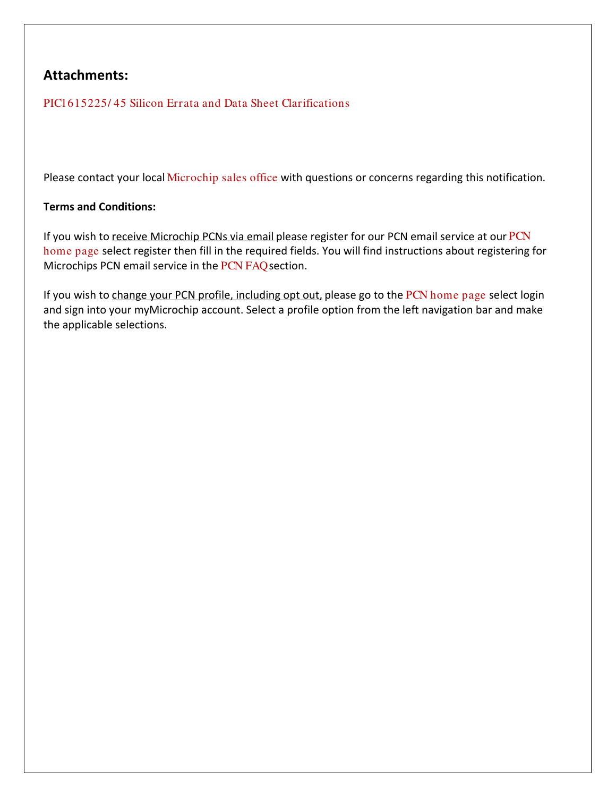# **Attachments:**

[PIC1615225/ 45 Silicon Errata and Data Sheet Clarifications](https://www.microchip.com/webdata/api/Document/DownloadDocumentsForFileHandlerByContentId?contentId=en1005230)

Please contact your local [Microchip sales office](http://www.microchip.com/distributors/SalesHome.aspx) with questions or concerns regarding this notification.

### **Terms and Conditions:**

If you wish to receive Microchip PCNs via email please register for our [PCN](http://www.microchip.com/pcn) email service at our PCN [home page](http://www.microchip.com/pcn) select register then fill in the required fields. You will find instructions about registering for Microchips PCN email service in the [PCN FAQ](http://www.microchip.com/pcn/faqs) section.

If you wish to change your PCN profile, including opt out, please go to the [PCN home page](http://www.microchip.com/pcn) select login and sign into your myMicrochip account. Select a profile option from the left navigation bar and make the applicable selections.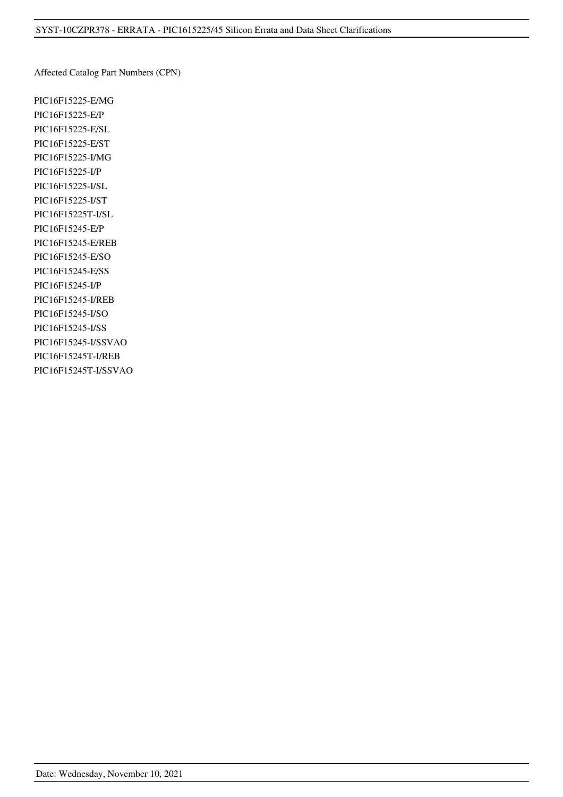Affected Catalog Part Numbers (CPN)

PIC16F15225-E/MG PIC16F15225-E/P PIC16F15225-E/SL PIC16F15225-E/ST PIC16F15225-I/MG PIC16F15225-I/P PIC16F15225-I/SL PIC16F15225-I/ST PIC16F15225T-I/SL PIC16F15245-E/P PIC16F15245-E/REB PIC16F15245-E/SO PIC16F15245-E/SS PIC16F15245-I/P PIC16F15245-I/REB PIC16F15245-I/SO PIC16F15245-I/SS PIC16F15245-I/SSVAO PIC16F15245T-I/REB PIC16F15245T-I/SSVAO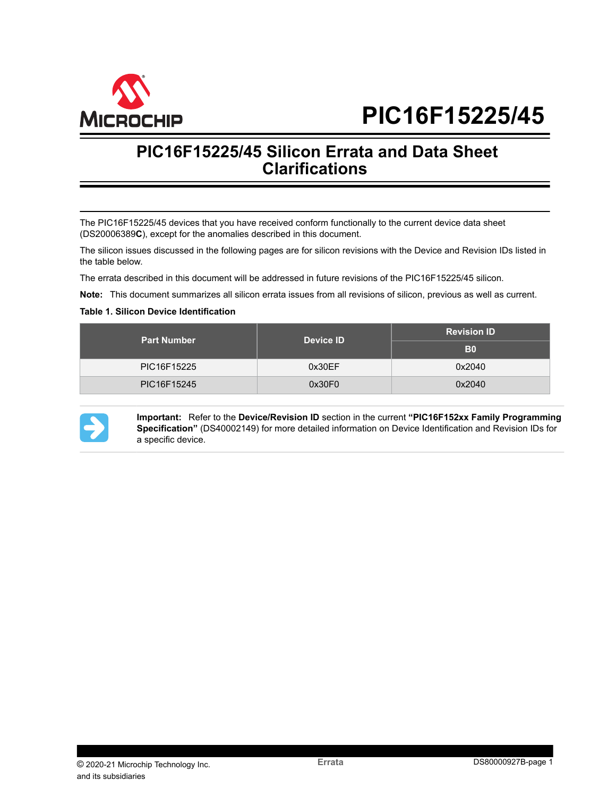

# **PIC16F15225/45**

# **PIC16F15225/45 Silicon Errata and Data Sheet Clarifications**

The PIC16F15225/45 devices that you have received conform functionally to the current device data sheet (DS20006389**C**), except for the anomalies described in this document.

The silicon issues discussed in the following pages are for silicon revisions with the Device and Revision IDs listed in the table below.

The errata described in this document will be addressed in future revisions of the PIC16F15225/45 silicon.

**Note:**  This document summarizes all silicon errata issues from all revisions of silicon, previous as well as current.

#### **Table 1. Silicon Device Identification**

| <b>Part Number</b> | <b>Device ID</b> | <b>Revision ID</b> |  |
|--------------------|------------------|--------------------|--|
|                    |                  | B <sub>0</sub>     |  |
| PIC16F15225        | 0x30EF           | 0x2040             |  |
| PIC16F15245        | 0x30F0           | 0x2040             |  |



**Important:**  Refer to the **Device/Revision ID** section in the current **"PIC16F152xx Family Programming Specification"** (DS40002149) for more detailed information on Device Identification and Revision IDs for a specific device.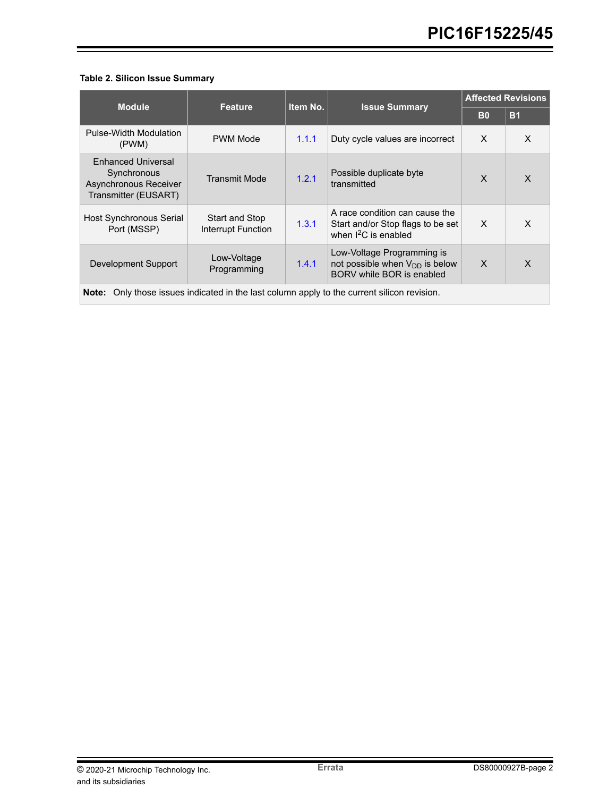#### **Table 2. Silicon Issue Summary**

|                                                                                                | Feature                              | Item No. |                                                                                                | <b>Affected Revisions</b> |              |  |  |
|------------------------------------------------------------------------------------------------|--------------------------------------|----------|------------------------------------------------------------------------------------------------|---------------------------|--------------|--|--|
| <b>Module</b>                                                                                  |                                      |          | <b>Issue Summary</b>                                                                           | <b>B0</b>                 | <b>B1</b>    |  |  |
| Pulse-Width Modulation<br>(PWM)                                                                | <b>PWM Mode</b>                      | 1.1.1    | Duty cycle values are incorrect                                                                | $\times$                  | X            |  |  |
| <b>Enhanced Universal</b><br>Synchronous<br>Asynchronous Receiver<br>Transmitter (EUSART)      | <b>Transmit Mode</b>                 | 1.2.1    | Possible duplicate byte<br>transmitted                                                         | $\mathsf{x}$              | X            |  |  |
| Host Synchronous Serial<br>Port (MSSP)                                                         | Start and Stop<br>Interrupt Function | 1.3.1    | A race condition can cause the<br>Start and/or Stop flags to be set<br>when $I^2C$ is enabled  | $\times$                  | X            |  |  |
| Development Support                                                                            | Low-Voltage<br>Programming           | 1.4.1    | Low-Voltage Programming is<br>not possible when $V_{DD}$ is below<br>BORV while BOR is enabled | $\times$                  | $\mathsf{x}$ |  |  |
| Only those issues indicated in the last column apply to the current silicon revision.<br>Note: |                                      |          |                                                                                                |                           |              |  |  |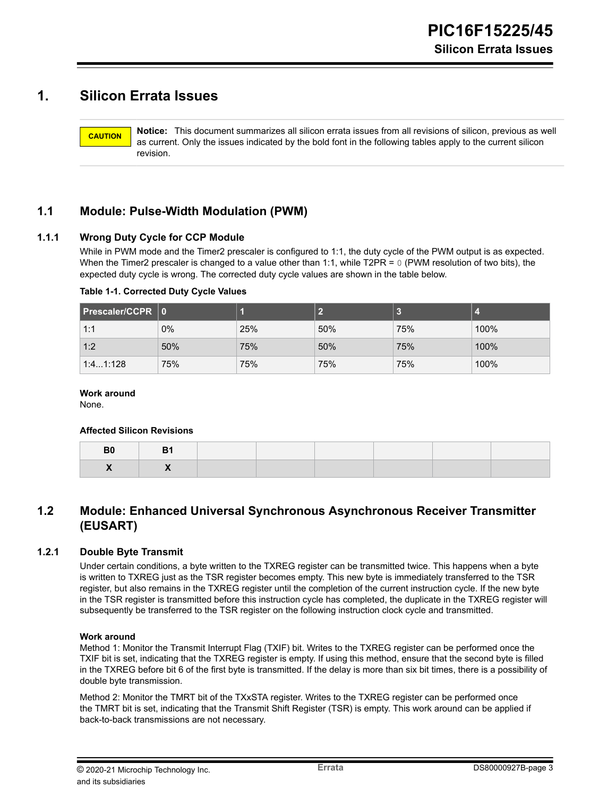# **1. Silicon Errata Issues**

**CAUTION Notice:** This document summarizes all silicon errata issues from all revisions of silicon, previous as well as current. Only the issues indicated by the bold font in the following tables apply to the current silicon revision.

### **1.1 Module: Pulse-Width Modulation (PWM)**

#### <span id="page-5-0"></span>**1.1.1 Wrong Duty Cycle for CCP Module**

While in PWM mode and the Timer2 prescaler is configured to 1:1, the duty cycle of the PWM output is as expected. When the Timer2 prescaler is changed to a value other than 1:1, while T2PR =  $0$  (PWM resolution of two bits), the expected duty cycle is wrong. The corrected duty cycle values are shown in the table below.

#### **Table 1-1. Corrected Duty Cycle Values**

| Prescaler/CCPR 0 |       |     |     |     |      |
|------------------|-------|-----|-----|-----|------|
| 1:1              | $0\%$ | 25% | 50% | 75% | 100% |
| 1:2              | 50%   | 75% | 50% | 75% | 100% |
| 1:41:128         | 75%   | 75% | 75% | 75% | 100% |

#### **Work around**

None.

#### **Affected Silicon Revisions**

| Dυ<br>___ |  |  |  |  |
|-----------|--|--|--|--|
|           |  |  |  |  |

### **1.2 Module: Enhanced Universal Synchronous Asynchronous Receiver Transmitter (EUSART)**

#### <span id="page-5-1"></span>**1.2.1 Double Byte Transmit**

Under certain conditions, a byte written to the TXREG register can be transmitted twice. This happens when a byte is written to TXREG just as the TSR register becomes empty. This new byte is immediately transferred to the TSR register, but also remains in the TXREG register until the completion of the current instruction cycle. If the new byte in the TSR register is transmitted before this instruction cycle has completed, the duplicate in the TXREG register will subsequently be transferred to the TSR register on the following instruction clock cycle and transmitted.

#### **Work around**

Method 1: Monitor the Transmit Interrupt Flag (TXIF) bit. Writes to the TXREG register can be performed once the TXIF bit is set, indicating that the TXREG register is empty. If using this method, ensure that the second byte is filled in the TXREG before bit 6 of the first byte is transmitted. If the delay is more than six bit times, there is a possibility of double byte transmission.

Method 2: Monitor the TMRT bit of the TXxSTA register. Writes to the TXREG register can be performed once the TMRT bit is set, indicating that the Transmit Shift Register (TSR) is empty. This work around can be applied if back-to-back transmissions are not necessary.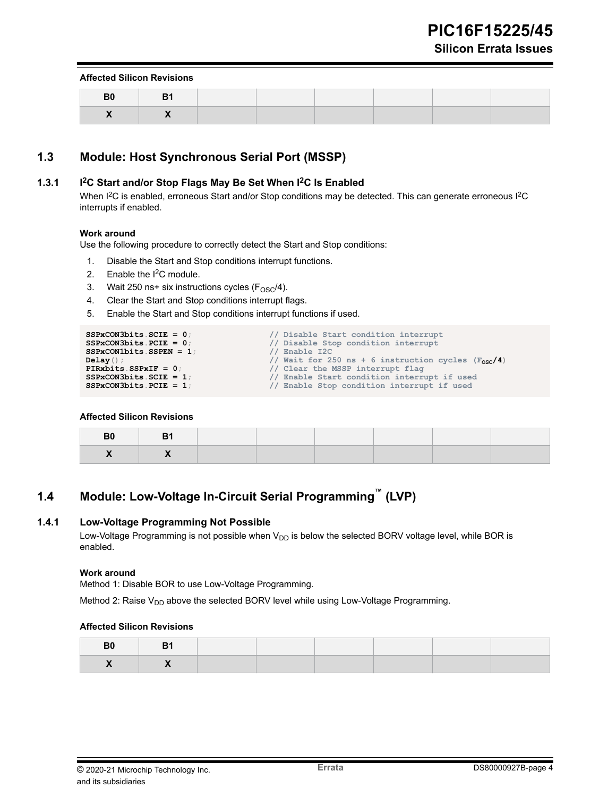#### **Affected Silicon Revisions**

#### **1.3 Module: Host Synchronous Serial Port (MSSP)**

#### <span id="page-6-0"></span>**1.3.1 I2C Start and/or Stop Flags May Be Set When I2C Is Enabled**

When I<sup>2</sup>C is enabled, erroneous Start and/or Stop conditions may be detected. This can generate erroneous I<sup>2</sup>C interrupts if enabled.

#### **Work around**

Use the following procedure to correctly detect the Start and Stop conditions:

- 1. Disable the Start and Stop conditions interrupt functions.
- 2. Enable the  $I^2C$  module.
- 3. Wait 250 ns+ six instructions cycles  $(F<sub>OSC</sub>/4)$ .
- 4. Clear the Start and Stop conditions interrupt flags.
- 5. Enable the Start and Stop conditions interrupt functions if used.

```
SSPxCON3bits.SCIE = 0;<br>SSPxCON3bits.PCIE = 0;<br>// Disable Stop condition interrupt
                                                      // Disable Stop condition interrupt<br>// Enable I2C
SSPxCON1bits.SSPEN = 1; Delay();
Delay(); // Wait for 250 ns + 6 instruction cycles (F_{\text{OSC}}/4)<br>PIRxbits.SSPxIF = 0; // Clear the MSSP interrupt flaq
PIRxbits.SSPxIF = 0;<br>SSPxCON3bits.SCIE = 1; // Enable Start condition interrupt flag
SSPxCON3bits.SCIE = 1; // Enable Start condition interrupt if used<br>SSPxCON3bits.PCIE = 1; // Enable Stop condition interrupt if used
                                                      SSPxCON3bits.PCIE = 1; // Enable Stop condition interrupt if used
```
#### **Affected Silicon Revisions**

## **1.4 Module: Low-Voltage In-Circuit Serial Programming™ (LVP)**

#### <span id="page-6-1"></span>**1.4.1 Low-Voltage Programming Not Possible**

Low-Voltage Programming is not possible when V<sub>DD</sub> is below the selected BORV voltage level, while BOR is enabled.

#### **Work around**

Method 1: Disable BOR to use Low-Voltage Programming.

Method 2: Raise  $V_{DD}$  above the selected BORV level while using Low-Voltage Programming.

#### **Affected Silicon Revisions**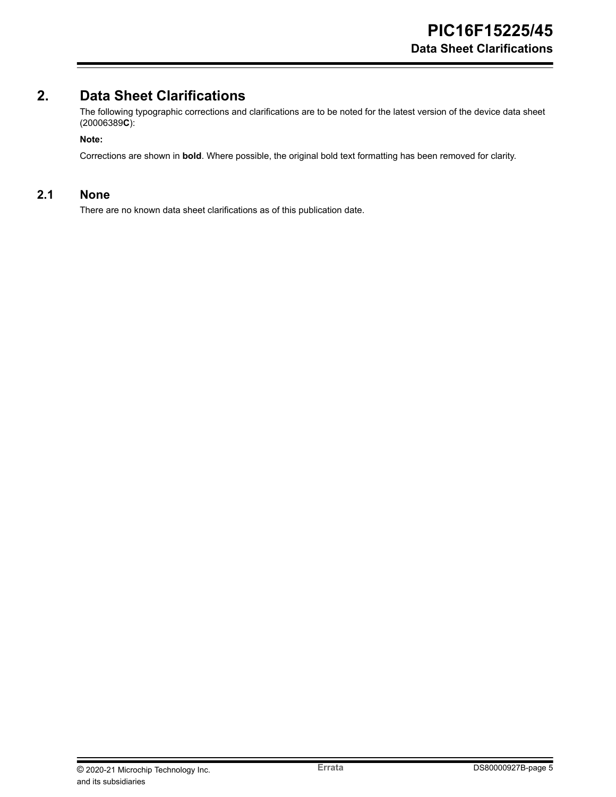# **2. Data Sheet Clarifications**

The following typographic corrections and clarifications are to be noted for the latest version of the device data sheet (20006389**C**):

#### **Note:**

Corrections are shown in **bold**. Where possible, the original bold text formatting has been removed for clarity.

#### **2.1 None**

There are no known data sheet clarifications as of this publication date.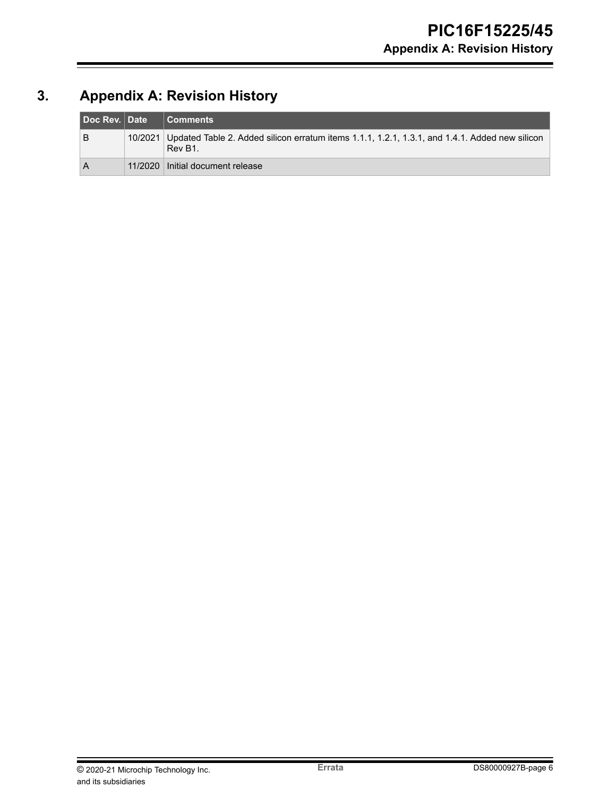# **3. Appendix A: Revision History**

| Doc Rev. Date | <b>Comments</b>                                                                                                   |
|---------------|-------------------------------------------------------------------------------------------------------------------|
| в             | 10/2021 Updated Table 2. Added silicon erratum items 1.1.1, 1.2.1, 1.3.1, and 1.4.1. Added new silicon<br>Rev B1. |
| А             | 11/2020   Initial document release                                                                                |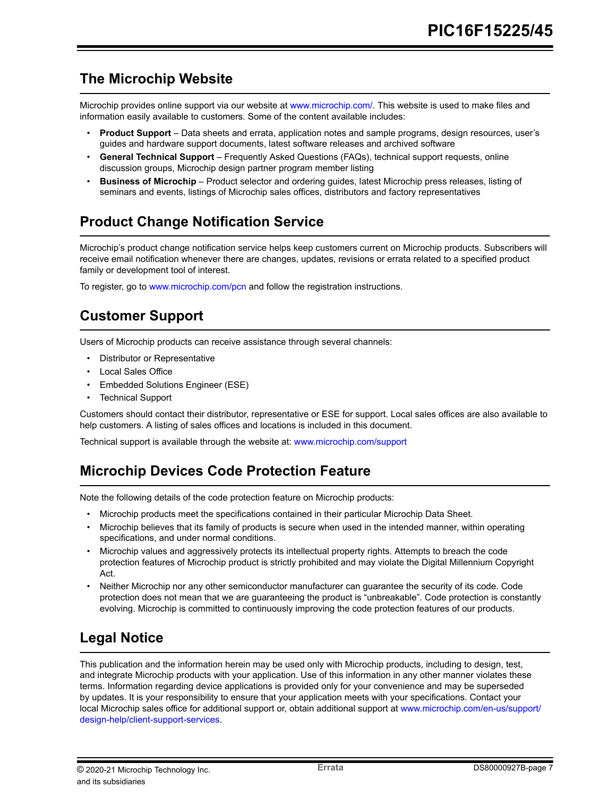# **The Microchip Website**

Microchip provides online support via our website at [www.microchip.com/](http://www.microchip.com/). This website is used to make files and information easily available to customers. Some of the content available includes:

- **Product Support** Data sheets and errata, application notes and sample programs, design resources, user's guides and hardware support documents, latest software releases and archived software
- **General Technical Support** Frequently Asked Questions (FAQs), technical support requests, online discussion groups, Microchip design partner program member listing
- **Business of Microchip** Product selector and ordering guides, latest Microchip press releases, listing of seminars and events, listings of Microchip sales offices, distributors and factory representatives

# **Product Change Notification Service**

Microchip's product change notification service helps keep customers current on Microchip products. Subscribers will receive email notification whenever there are changes, updates, revisions or errata related to a specified product family or development tool of interest.

To register, go to [www.microchip.com/pcn](http://www.microchip.com/pcn) and follow the registration instructions.

# **Customer Support**

Users of Microchip products can receive assistance through several channels:

- Distributor or Representative
- Local Sales Office
- Embedded Solutions Engineer (ESE)
- Technical Support

Customers should contact their distributor, representative or ESE for support. Local sales offices are also available to help customers. A listing of sales offices and locations is included in this document.

Technical support is available through the website at: [www.microchip.com/support](http://www.microchip.com/support)

# **Microchip Devices Code Protection Feature**

Note the following details of the code protection feature on Microchip products:

- Microchip products meet the specifications contained in their particular Microchip Data Sheet.
- Microchip believes that its family of products is secure when used in the intended manner, within operating specifications, and under normal conditions.
- Microchip values and aggressively protects its intellectual property rights. Attempts to breach the code protection features of Microchip product is strictly prohibited and may violate the Digital Millennium Copyright Act.
- Neither Microchip nor any other semiconductor manufacturer can guarantee the security of its code. Code protection does not mean that we are guaranteeing the product is "unbreakable". Code protection is constantly evolving. Microchip is committed to continuously improving the code protection features of our products.

# **Legal Notice**

This publication and the information herein may be used only with Microchip products, including to design, test, and integrate Microchip products with your application. Use of this information in any other manner violates these terms. Information regarding device applications is provided only for your convenience and may be superseded by updates. It is your responsibility to ensure that your application meets with your specifications. Contact your local Microchip sales office for additional support or, obtain additional support at [www.microchip.com/en-us/support/](https://www.microchip.com/en-us/support/design-help/client-support-services) [design-help/client-support-services](https://www.microchip.com/en-us/support/design-help/client-support-services).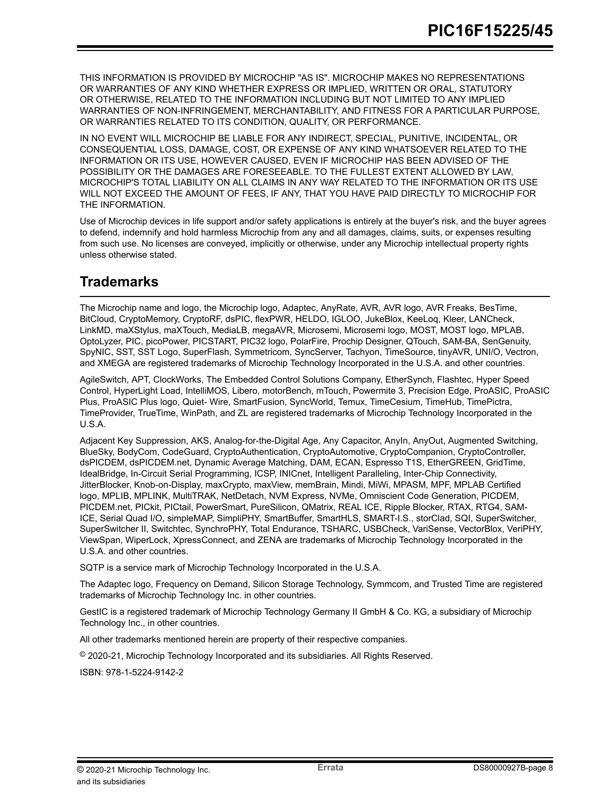THIS INFORMATION IS PROVIDED BY MICROCHIP "AS IS". MICROCHIP MAKES NO REPRESENTATIONS OR WARRANTIES OF ANY KIND WHETHER EXPRESS OR IMPLIED, WRITTEN OR ORAL, STATUTORY OR OTHERWISE, RELATED TO THE INFORMATION INCLUDING BUT NOT LIMITED TO ANY IMPLIED WARRANTIES OF NON-INFRINGEMENT, MERCHANTABILITY, AND FITNESS FOR A PARTICULAR PURPOSE, OR WARRANTIES RELATED TO ITS CONDITION, QUALITY, OR PERFORMANCE.

IN NO EVENT WILL MICROCHIP BE LIABLE FOR ANY INDIRECT, SPECIAL, PUNITIVE, INCIDENTAL, OR CONSEQUENTIAL LOSS, DAMAGE, COST, OR EXPENSE OF ANY KIND WHATSOEVER RELATED TO THE INFORMATION OR ITS USE, HOWEVER CAUSED, EVEN IF MICROCHIP HAS BEEN ADVISED OF THE POSSIBILITY OR THE DAMAGES ARE FORESEEABLE. TO THE FULLEST EXTENT ALLOWED BY LAW, MICROCHIP'S TOTAL LIABILITY ON ALL CLAIMS IN ANY WAY RELATED TO THE INFORMATION OR ITS USE WILL NOT EXCEED THE AMOUNT OF FEES, IF ANY, THAT YOU HAVE PAID DIRECTLY TO MICROCHIP FOR THE INFORMATION.

Use of Microchip devices in life support and/or safety applications is entirely at the buyer's risk, and the buyer agrees to defend, indemnify and hold harmless Microchip from any and all damages, claims, suits, or expenses resulting from such use. No licenses are conveyed, implicitly or otherwise, under any Microchip intellectual property rights unless otherwise stated.

# **Trademarks**

The Microchip name and logo, the Microchip logo, Adaptec, AnyRate, AVR, AVR logo, AVR Freaks, BesTime, BitCloud, CryptoMemory, CryptoRF, dsPIC, flexPWR, HELDO, IGLOO, JukeBlox, KeeLoq, Kleer, LANCheck, LinkMD, maXStylus, maXTouch, MediaLB, megaAVR, Microsemi, Microsemi logo, MOST, MOST logo, MPLAB, OptoLyzer, PIC, picoPower, PICSTART, PIC32 logo, PolarFire, Prochip Designer, QTouch, SAM-BA, SenGenuity, SpyNIC, SST, SST Logo, SuperFlash, Symmetricom, SyncServer, Tachyon, TimeSource, tinyAVR, UNI/O, Vectron, and XMEGA are registered trademarks of Microchip Technology Incorporated in the U.S.A. and other countries.

AgileSwitch, APT, ClockWorks, The Embedded Control Solutions Company, EtherSynch, Flashtec, Hyper Speed Control, HyperLight Load, IntelliMOS, Libero, motorBench, mTouch, Powermite 3, Precision Edge, ProASIC, ProASIC Plus, ProASIC Plus logo, Quiet- Wire, SmartFusion, SyncWorld, Temux, TimeCesium, TimeHub, TimePictra, TimeProvider, TrueTime, WinPath, and ZL are registered trademarks of Microchip Technology Incorporated in the U.S.A.

Adjacent Key Suppression, AKS, Analog-for-the-Digital Age, Any Capacitor, AnyIn, AnyOut, Augmented Switching, BlueSky, BodyCom, CodeGuard, CryptoAuthentication, CryptoAutomotive, CryptoCompanion, CryptoController, dsPICDEM, dsPICDEM.net, Dynamic Average Matching, DAM, ECAN, Espresso T1S, EtherGREEN, GridTime, IdealBridge, In-Circuit Serial Programming, ICSP, INICnet, Intelligent Paralleling, Inter-Chip Connectivity, JitterBlocker, Knob-on-Display, maxCrypto, maxView, memBrain, Mindi, MiWi, MPASM, MPF, MPLAB Certified logo, MPLIB, MPLINK, MultiTRAK, NetDetach, NVM Express, NVMe, Omniscient Code Generation, PICDEM, PICDEM.net, PICkit, PICtail, PowerSmart, PureSilicon, QMatrix, REAL ICE, Ripple Blocker, RTAX, RTG4, SAM-ICE, Serial Quad I/O, simpleMAP, SimpliPHY, SmartBuffer, SmartHLS, SMART-I.S., storClad, SQI, SuperSwitcher, SuperSwitcher II, Switchtec, SynchroPHY, Total Endurance, TSHARC, USBCheck, VariSense, VectorBlox, VeriPHY, ViewSpan, WiperLock, XpressConnect, and ZENA are trademarks of Microchip Technology Incorporated in the U.S.A. and other countries.

SQTP is a service mark of Microchip Technology Incorporated in the U.S.A.

The Adaptec logo, Frequency on Demand, Silicon Storage Technology, Symmcom, and Trusted Time are registered trademarks of Microchip Technology Inc. in other countries.

GestIC is a registered trademark of Microchip Technology Germany II GmbH & Co. KG, a subsidiary of Microchip Technology Inc., in other countries.

All other trademarks mentioned herein are property of their respective companies.

© 2020-21, Microchip Technology Incorporated and its subsidiaries. All Rights Reserved.

ISBN: 978-1-5224-9142-2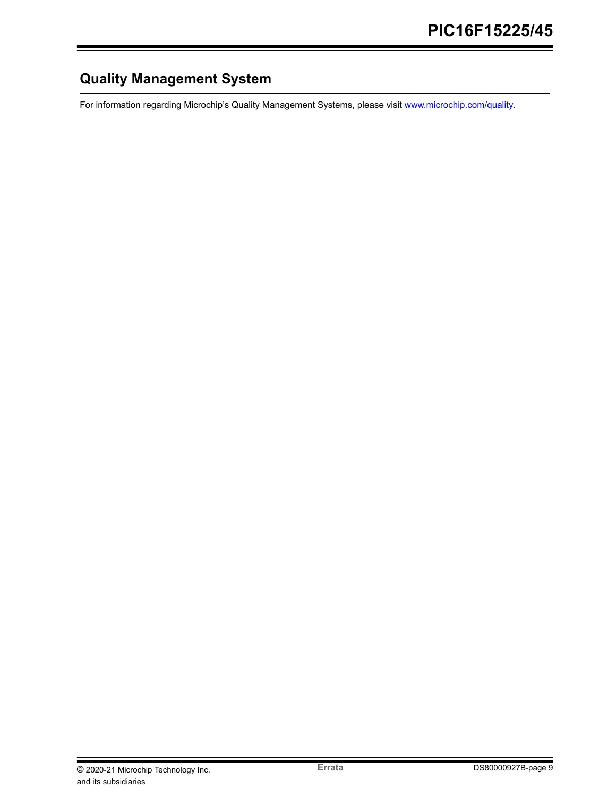# **Quality Management System**

For information regarding Microchip's Quality Management Systems, please visit [www.microchip.com/quality](http://www.microchip.com/quality).